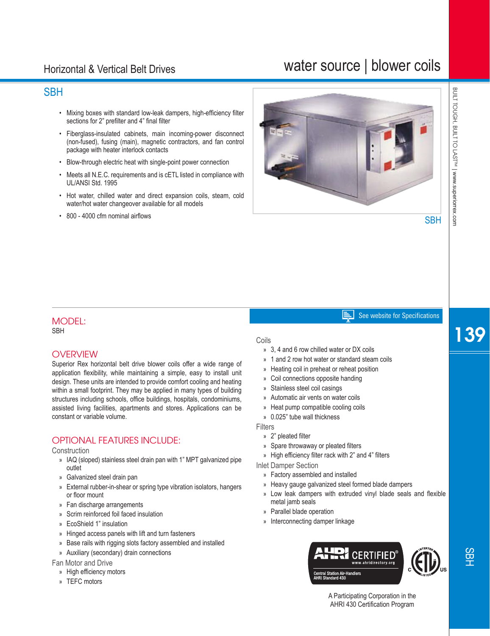## Horizontal & Vertical Belt Drives

## water source | blower coils

## **SBH**

- Mixing boxes with standard low-leak dampers, high-efficiency filter sections for 2" prefilter and 4" final filter
- Fiberglass-insulated cabinets, main incoming-power disconnect (non-fused), fusing (main), magnetic contractors, and fan control package with heater interlock contacts
- Blow-through electric heat with single-point power connection
- Meets all N.E.C. requirements and is cETL listed in compliance with UL/ANSI Std. 1995
- Hot water, chilled water and direct expansion coils, steam, cold water/hot water changeover available for all models
- 800 4000 cfm nominal airflows



## MODEL:

**SRH** 

#### **OVERVIEW**

Superior Rex horizontal belt drive blower coils offer a wide range of application flexibility, while maintaining a simple, easy to install unit design. These units are intended to provide comfort cooling and heating within a small footprint. They may be applied in many types of building structures including schools, office buildings, hospitals, condominiums, assisted living facilities, apartments and stores. Applications can be constant or variable volume.

#### OPTIONAL FEATURES INCLUDE:

Construction

- » IAQ (sloped) stainless steel drain pan with 1" MPT galvanized pipe outlet
- » Galvanized steel drain pan
- » External rubber-in-shear or spring type vibration isolators, hangers or floor mount
- » Fan discharge arrangements
- » Scrim reinforced foil faced insulation
- » EcoShield 1" insulation
- » Hinged access panels with lift and turn fasteners
- » Base rails with rigging slots factory assembled and installed
- » Auxiliary (secondary) drain connections

Fan Motor and Drive

- » High efficiency motors
- » TEFC motors

#### Coils

- » 3, 4 and 6 row chilled water or DX coils
- » 1 and 2 row hot water or standard steam coils

E I

- » Heating coil in preheat or reheat position
- » Coil connections opposite handing
- » Stainless steel coil casings
- » Automatic air vents on water coils
- » Heat pump compatible cooling coils
- » 0.025" tube wall thickness

**Filters** 

- » 2" pleated filter
- » Spare throwaway or pleated filters
- » High efficiency filter rack with 2" and 4" filters

Inlet Damper Section

- » Factory assembled and installed
- » Heavy gauge galvanized steel formed blade dampers
- » Low leak dampers with extruded vinyl blade seals and flexible metal jamb seals
- » Parallel blade operation
- » Interconnecting damper linkage



See website for Specifications

139

A Participating Corporation in the AHRI 430 Certification Program